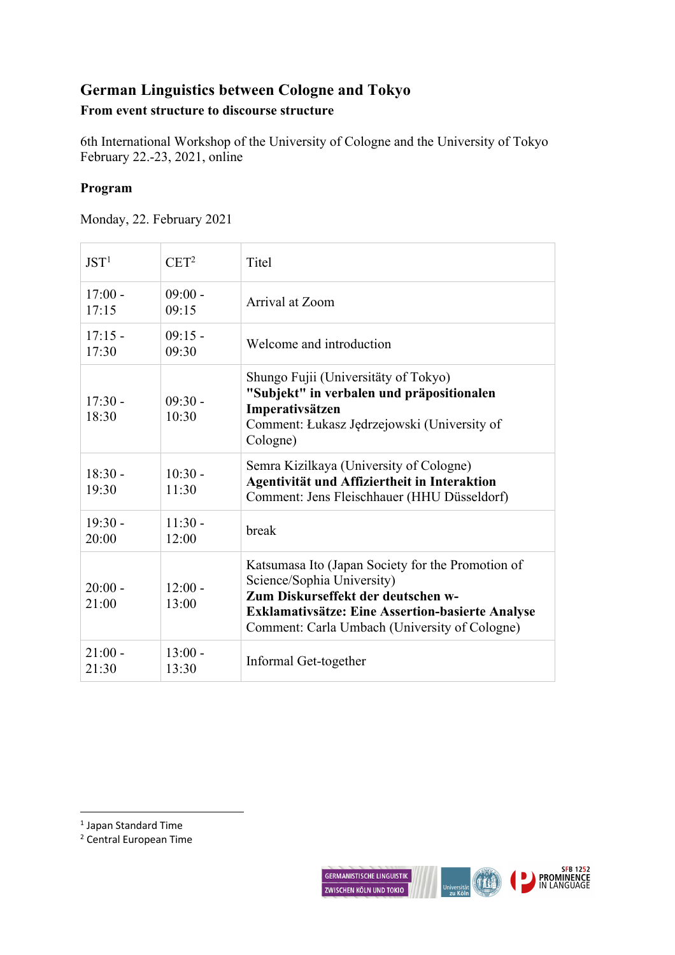# **German Linguistics between Cologne and Tokyo**

## **From event structure to discourse structure**

6th International Workshop of the University of Cologne and the University of Tokyo February 22.-23, 2021, online

### **Program**

Monday, 22. February 2021

| JST <sup>1</sup>   | $CET^2$            | <b>Titel</b>                                                                                                                                                                                                                      |
|--------------------|--------------------|-----------------------------------------------------------------------------------------------------------------------------------------------------------------------------------------------------------------------------------|
| $17:00 -$<br>17:15 | $09:00 -$<br>09:15 | Arrival at Zoom                                                                                                                                                                                                                   |
| $17:15 -$<br>17:30 | $09:15 -$<br>09:30 | Welcome and introduction                                                                                                                                                                                                          |
| $17:30 -$<br>18:30 | $09:30 -$<br>10:30 | Shungo Fujii (Universitäty of Tokyo)<br>"Subjekt" in verbalen und präpositionalen<br>Imperativsätzen<br>Comment: Łukasz Jędrzejowski (University of<br>Cologne)                                                                   |
| $18:30 -$<br>19:30 | $10:30 -$<br>11:30 | Semra Kizilkaya (University of Cologne)<br>Agentivität und Affiziertheit in Interaktion<br>Comment: Jens Fleischhauer (HHU Düsseldorf)                                                                                            |
| $19:30 -$<br>20:00 | $11:30 -$<br>12:00 | break                                                                                                                                                                                                                             |
| $20:00 -$<br>21:00 | $12:00 -$<br>13:00 | Katsumasa Ito (Japan Society for the Promotion of<br>Science/Sophia University)<br>Zum Diskurseffekt der deutschen w-<br><b>Exklamativsätze: Eine Assertion-basierte Analyse</b><br>Comment: Carla Umbach (University of Cologne) |
| $21:00 -$<br>21:30 | $13:00 -$<br>13:30 | Informal Get-together                                                                                                                                                                                                             |

<sup>1</sup> Japan Standard Time

<sup>2</sup> Central European Time